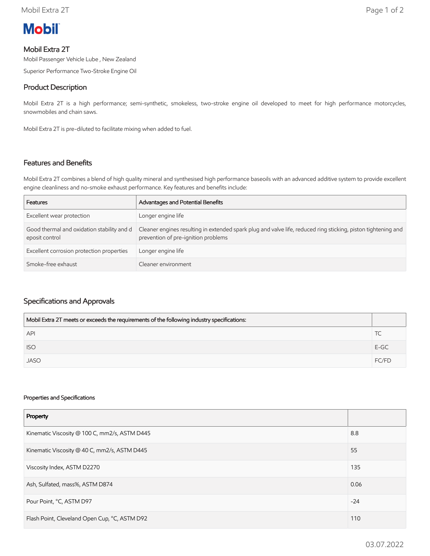# **Mobil**

## Mobil Extra 2T

Mobil Passenger Vehicle Lube , New Zealand

Superior Performance Two-Stroke Engine Oil

## Product Description

Mobil Extra 2T is a high performance; semi-synthetic, smokeless, two-stroke engine oil developed to meet for high performance motorcycles, snowmobiles and chain saws.

Mobil Extra 2T is pre-diluted to facilitate mixing when added to fuel.

### Features and Benefits

Mobil Extra 2T combines a blend of high quality mineral and synthesised high performance baseoils with an advanced additive system to provide excellent engine cleanliness and no-smoke exhaust performance. Key features and benefits include:

| Features                                                     | Advantages and Potential Benefits                                                                                                                    |
|--------------------------------------------------------------|------------------------------------------------------------------------------------------------------------------------------------------------------|
| Excellent wear protection                                    | Longer engine life                                                                                                                                   |
| Good thermal and oxidation stability and d<br>eposit control | Cleaner engines resulting in extended spark plug and valve life, reduced ring sticking, piston tightening and<br>prevention of pre-ignition problems |
| Excellent corrosion protection properties                    | Longer engine life                                                                                                                                   |
| Smoke-free exhaust                                           | Cleaner environment                                                                                                                                  |

### Specifications and Approvals

| Mobil Extra 2T meets or exceeds the requirements of the following industry specifications: |        |
|--------------------------------------------------------------------------------------------|--------|
| <b>API</b>                                                                                 |        |
| <b>ISO</b>                                                                                 | $E-GC$ |
| <b>JASO</b>                                                                                | FC/FD  |

#### Properties and Specifications

| Property                                      |       |
|-----------------------------------------------|-------|
| Kinematic Viscosity @ 100 C, mm2/s, ASTM D445 | 8.8   |
| Kinematic Viscosity @ 40 C, mm2/s, ASTM D445  | 55    |
| Viscosity Index, ASTM D2270                   | 135   |
| Ash, Sulfated, mass%, ASTM D874               | 0.06  |
| Pour Point, °C, ASTM D97                      | $-24$ |
| Flash Point, Cleveland Open Cup, °C, ASTM D92 |       |